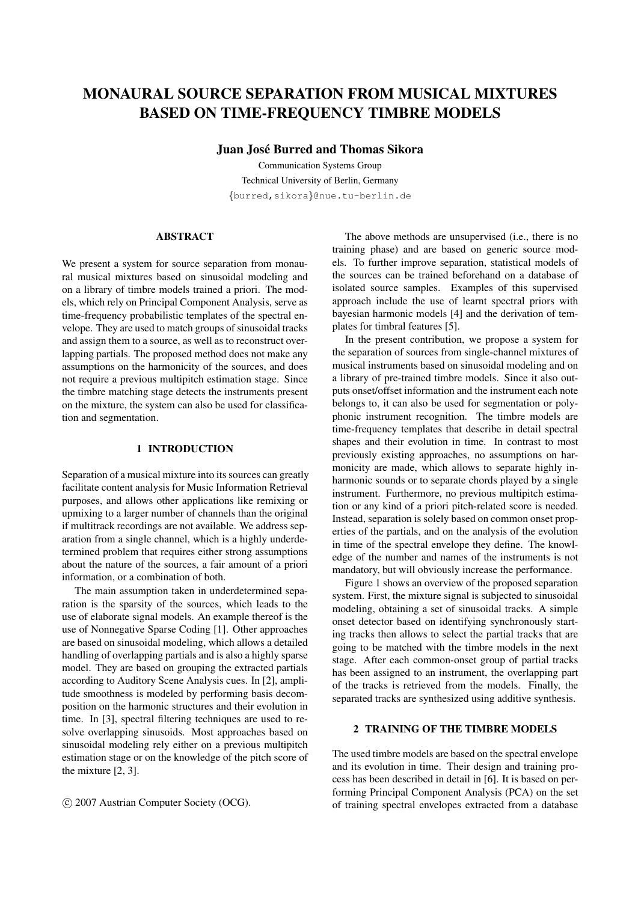# MONAURAL SOURCE SEPARATION FROM MUSICAL MIXTURES BASED ON TIME-FREQUENCY TIMBRE MODELS

Juan José Burred and Thomas Sikora

Communication Systems Group Technical University of Berlin, Germany {burred,sikora}@nue.tu-berlin.de

#### ABSTRACT

We present a system for source separation from monaural musical mixtures based on sinusoidal modeling and on a library of timbre models trained a priori. The models, which rely on Principal Component Analysis, serve as time-frequency probabilistic templates of the spectral envelope. They are used to match groups of sinusoidal tracks and assign them to a source, as well as to reconstruct overlapping partials. The proposed method does not make any assumptions on the harmonicity of the sources, and does not require a previous multipitch estimation stage. Since the timbre matching stage detects the instruments present on the mixture, the system can also be used for classification and segmentation.

## 1 INTRODUCTION

Separation of a musical mixture into its sources can greatly facilitate content analysis for Music Information Retrieval purposes, and allows other applications like remixing or upmixing to a larger number of channels than the original if multitrack recordings are not available. We address separation from a single channel, which is a highly underdetermined problem that requires either strong assumptions about the nature of the sources, a fair amount of a priori information, or a combination of both.

The main assumption taken in underdetermined separation is the sparsity of the sources, which leads to the use of elaborate signal models. An example thereof is the use of Nonnegative Sparse Coding [1]. Other approaches are based on sinusoidal modeling, which allows a detailed handling of overlapping partials and is also a highly sparse model. They are based on grouping the extracted partials according to Auditory Scene Analysis cues. In [2], amplitude smoothness is modeled by performing basis decomposition on the harmonic structures and their evolution in time. In [3], spectral filtering techniques are used to resolve overlapping sinusoids. Most approaches based on sinusoidal modeling rely either on a previous multipitch estimation stage or on the knowledge of the pitch score of the mixture [2, 3].

c 2007 Austrian Computer Society (OCG).

The above methods are unsupervised (i.e., there is no training phase) and are based on generic source models. To further improve separation, statistical models of the sources can be trained beforehand on a database of isolated source samples. Examples of this supervised approach include the use of learnt spectral priors with bayesian harmonic models [4] and the derivation of templates for timbral features [5].

In the present contribution, we propose a system for the separation of sources from single-channel mixtures of musical instruments based on sinusoidal modeling and on a library of pre-trained timbre models. Since it also outputs onset/offset information and the instrument each note belongs to, it can also be used for segmentation or polyphonic instrument recognition. The timbre models are time-frequency templates that describe in detail spectral shapes and their evolution in time. In contrast to most previously existing approaches, no assumptions on harmonicity are made, which allows to separate highly inharmonic sounds or to separate chords played by a single instrument. Furthermore, no previous multipitch estimation or any kind of a priori pitch-related score is needed. Instead, separation is solely based on common onset properties of the partials, and on the analysis of the evolution in time of the spectral envelope they define. The knowledge of the number and names of the instruments is not mandatory, but will obviously increase the performance.

Figure 1 shows an overview of the proposed separation system. First, the mixture signal is subjected to sinusoidal modeling, obtaining a set of sinusoidal tracks. A simple onset detector based on identifying synchronously starting tracks then allows to select the partial tracks that are going to be matched with the timbre models in the next stage. After each common-onset group of partial tracks has been assigned to an instrument, the overlapping part of the tracks is retrieved from the models. Finally, the separated tracks are synthesized using additive synthesis.

#### 2 TRAINING OF THE TIMBRE MODELS

The used timbre models are based on the spectral envelope and its evolution in time. Their design and training process has been described in detail in [6]. It is based on performing Principal Component Analysis (PCA) on the set of training spectral envelopes extracted from a database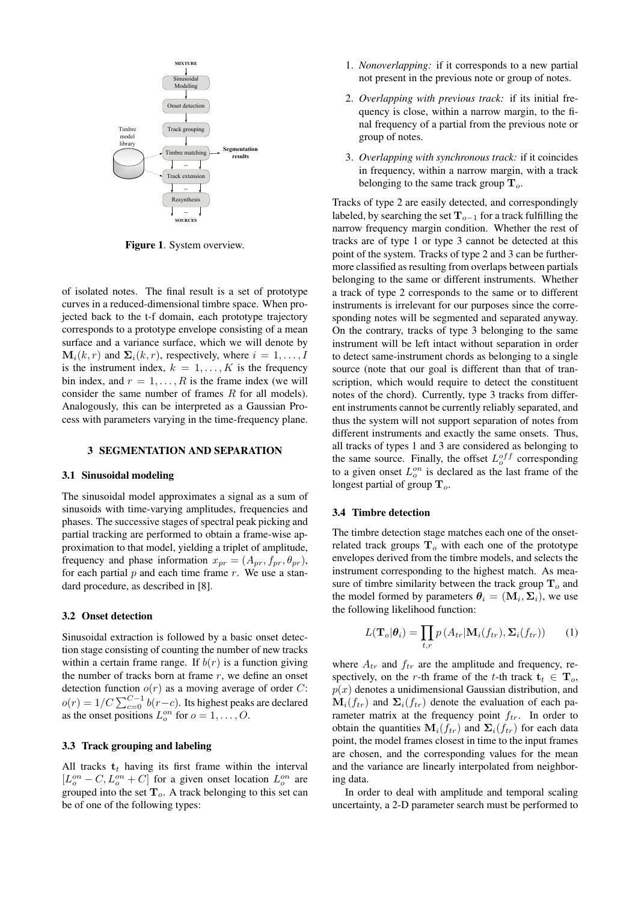

Figure 1. System overview.

of isolated notes. The final result is a set of prototype curves in a reduced-dimensional timbre space. When projected back to the t-f domain, each prototype trajectory corresponds to a prototype envelope consisting of a mean surface and a variance surface, which we will denote by  $\mathbf{M}_i(k,r)$  and  $\mathbf{\Sigma}_i(k,r)$ , respectively, where  $i = 1, \ldots, I$ is the instrument index,  $k = 1, \ldots, K$  is the frequency bin index, and  $r = 1, \ldots, R$  is the frame index (we will consider the same number of frames  $R$  for all models). Analogously, this can be interpreted as a Gaussian Process with parameters varying in the time-frequency plane.

## 3 SEGMENTATION AND SEPARATION

#### 3.1 Sinusoidal modeling

The sinusoidal model approximates a signal as a sum of sinusoids with time-varying amplitudes, frequencies and phases. The successive stages of spectral peak picking and partial tracking are performed to obtain a frame-wise approximation to that model, yielding a triplet of amplitude, frequency and phase information  $x_{pr} = (A_{pr}, f_{pr}, \theta_{pr}),$ for each partial  $p$  and each time frame  $r$ . We use a standard procedure, as described in [8].

#### 3.2 Onset detection

Sinusoidal extraction is followed by a basic onset detection stage consisting of counting the number of new tracks within a certain frame range. If  $b(r)$  is a function giving the number of tracks born at frame  $r$ , we define an onset detection function  $o(r)$  as a moving average of order C:  $o(r) = 1/C \sum_{c=0}^{C-1} b(r-c)$ . Its highest peaks are declared as the onset positions  $L_o^{on}$  for  $o = 1, \ldots, O$ .

#### 3.3 Track grouping and labeling

All tracks  $t_t$  having its first frame within the interval  $[L_0^{on} - C, L_0^{on} + C]$  for a given onset location  $L_0^{on}$  are grouped into the set  $T<sub>o</sub>$ . A track belonging to this set can be of one of the following types:

- 1. *Nonoverlapping:* if it corresponds to a new partial not present in the previous note or group of notes.
- 2. *Overlapping with previous track:* if its initial frequency is close, within a narrow margin, to the final frequency of a partial from the previous note or group of notes.
- 3. *Overlapping with synchronous track:* if it coincides in frequency, within a narrow margin, with a track belonging to the same track group  $T<sub>o</sub>$ .

Tracks of type 2 are easily detected, and correspondingly labeled, by searching the set  $T_{o-1}$  for a track fulfilling the narrow frequency margin condition. Whether the rest of tracks are of type 1 or type 3 cannot be detected at this point of the system. Tracks of type 2 and 3 can be furthermore classified as resulting from overlaps between partials belonging to the same or different instruments. Whether a track of type 2 corresponds to the same or to different instruments is irrelevant for our purposes since the corresponding notes will be segmented and separated anyway. On the contrary, tracks of type 3 belonging to the same instrument will be left intact without separation in order to detect same-instrument chords as belonging to a single source (note that our goal is different than that of transcription, which would require to detect the constituent notes of the chord). Currently, type 3 tracks from different instruments cannot be currently reliably separated, and thus the system will not support separation of notes from different instruments and exactly the same onsets. Thus, all tracks of types 1 and 3 are considered as belonging to the same source. Finally, the offset  $L_o^{off}$  corresponding to a given onset  $L_o^{on}$  is declared as the last frame of the longest partial of group  $T<sub>o</sub>$ .

# 3.4 Timbre detection

The timbre detection stage matches each one of the onsetrelated track groups  $T<sub>o</sub>$  with each one of the prototype envelopes derived from the timbre models, and selects the instrument corresponding to the highest match. As measure of timbre similarity between the track group  $T<sub>o</sub>$  and the model formed by parameters  $\boldsymbol{\theta}_i = (\mathbf{M}_i, \boldsymbol{\Sigma}_i)$ , we use the following likelihood function:

$$
L(\mathbf{T}_o|\boldsymbol{\theta}_i) = \prod_{t,r} p\left(A_{tr}|\mathbf{M}_i(f_{tr}), \boldsymbol{\Sigma}_i(f_{tr})\right) \qquad (1)
$$

where  $A_{tr}$  and  $f_{tr}$  are the amplitude and frequency, respectively, on the r-th frame of the t-th track  $t_t \in T_o$ ,  $p(x)$  denotes a unidimensional Gaussian distribution, and  $\mathbf{M}_i(f_{tr})$  and  $\mathbf{\Sigma}_i(f_{tr})$  denote the evaluation of each parameter matrix at the frequency point  $f_{tr}$ . In order to obtain the quantities  $\mathbf{M}_i(f_{tr})$  and  $\mathbf{\Sigma}_i(f_{tr})$  for each data point, the model frames closest in time to the input frames are chosen, and the corresponding values for the mean and the variance are linearly interpolated from neighboring data.

In order to deal with amplitude and temporal scaling uncertainty, a 2-D parameter search must be performed to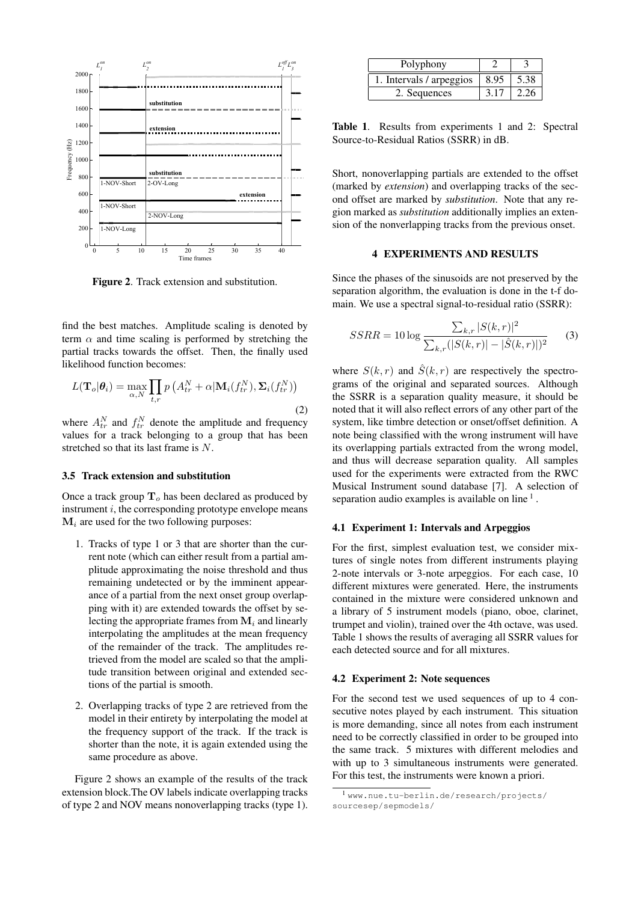

Figure 2. Track extension and substitution.

find the best matches. Amplitude scaling is denoted by term  $\alpha$  and time scaling is performed by stretching the partial tracks towards the offset. Then, the finally used likelihood function becomes:

$$
L(\mathbf{T}_o|\boldsymbol{\theta}_i) = \max_{\alpha,N} \prod_{t,r} p\left(A_{tr}^N + \alpha | \mathbf{M}_i(f_{tr}^N), \boldsymbol{\Sigma}_i(f_{tr}^N)\right)
$$
\n(2)

where  $A_{tr}^N$  and  $f_{tr}^N$  denote the amplitude and frequency values for a track belonging to a group that has been stretched so that its last frame is N.

#### 3.5 Track extension and substitution

Once a track group  $T<sub>o</sub>$  has been declared as produced by instrument  $i$ , the corresponding prototype envelope means  $M_i$  are used for the two following purposes:

- 1. Tracks of type 1 or 3 that are shorter than the current note (which can either result from a partial amplitude approximating the noise threshold and thus remaining undetected or by the imminent appearance of a partial from the next onset group overlapping with it) are extended towards the offset by selecting the appropriate frames from  $M_i$  and linearly interpolating the amplitudes at the mean frequency of the remainder of the track. The amplitudes retrieved from the model are scaled so that the amplitude transition between original and extended sections of the partial is smooth.
- 2. Overlapping tracks of type 2 are retrieved from the model in their entirety by interpolating the model at the frequency support of the track. If the track is shorter than the note, it is again extended using the same procedure as above.

Figure 2 shows an example of the results of the track extension block.The OV labels indicate overlapping tracks of type 2 and NOV means nonoverlapping tracks (type 1).

| Polyphony                |      |      |
|--------------------------|------|------|
| 1. Intervals / arpeggios | 8.95 | 5.38 |
| 2. Sequences             | 3.17 | 2.26 |

Table 1. Results from experiments 1 and 2: Spectral Source-to-Residual Ratios (SSRR) in dB.

Short, nonoverlapping partials are extended to the offset (marked by *extension*) and overlapping tracks of the second offset are marked by *substitution*. Note that any region marked as *substitution* additionally implies an extension of the nonverlapping tracks from the previous onset.

## 4 EXPERIMENTS AND RESULTS

Since the phases of the sinusoids are not preserved by the separation algorithm, the evaluation is done in the t-f domain. We use a spectral signal-to-residual ratio (SSRR):

$$
SSRR = 10 \log \frac{\sum_{k,r} |S(k,r)|^2}{\sum_{k,r} (|S(k,r)| - |\hat{S}(k,r)|)^2}
$$
(3)

where  $S(k, r)$  and  $\hat{S}(k, r)$  are respectively the spectrograms of the original and separated sources. Although the SSRR is a separation quality measure, it should be noted that it will also reflect errors of any other part of the system, like timbre detection or onset/offset definition. A note being classified with the wrong instrument will have its overlapping partials extracted from the wrong model, and thus will decrease separation quality. All samples used for the experiments were extracted from the RWC Musical Instrument sound database [7]. A selection of separation audio examples is available on line<sup>1</sup>.

#### 4.1 Experiment 1: Intervals and Arpeggios

For the first, simplest evaluation test, we consider mixtures of single notes from different instruments playing 2-note intervals or 3-note arpeggios. For each case, 10 different mixtures were generated. Here, the instruments contained in the mixture were considered unknown and a library of 5 instrument models (piano, oboe, clarinet, trumpet and violin), trained over the 4th octave, was used. Table 1 shows the results of averaging all SSRR values for each detected source and for all mixtures.

#### 4.2 Experiment 2: Note sequences

For the second test we used sequences of up to 4 consecutive notes played by each instrument. This situation is more demanding, since all notes from each instrument need to be correctly classified in order to be grouped into the same track. 5 mixtures with different melodies and with up to 3 simultaneous instruments were generated. For this test, the instruments were known a priori.

<sup>1</sup> www.nue.tu-berlin.de/research/projects/ sourcesep/sepmodels/